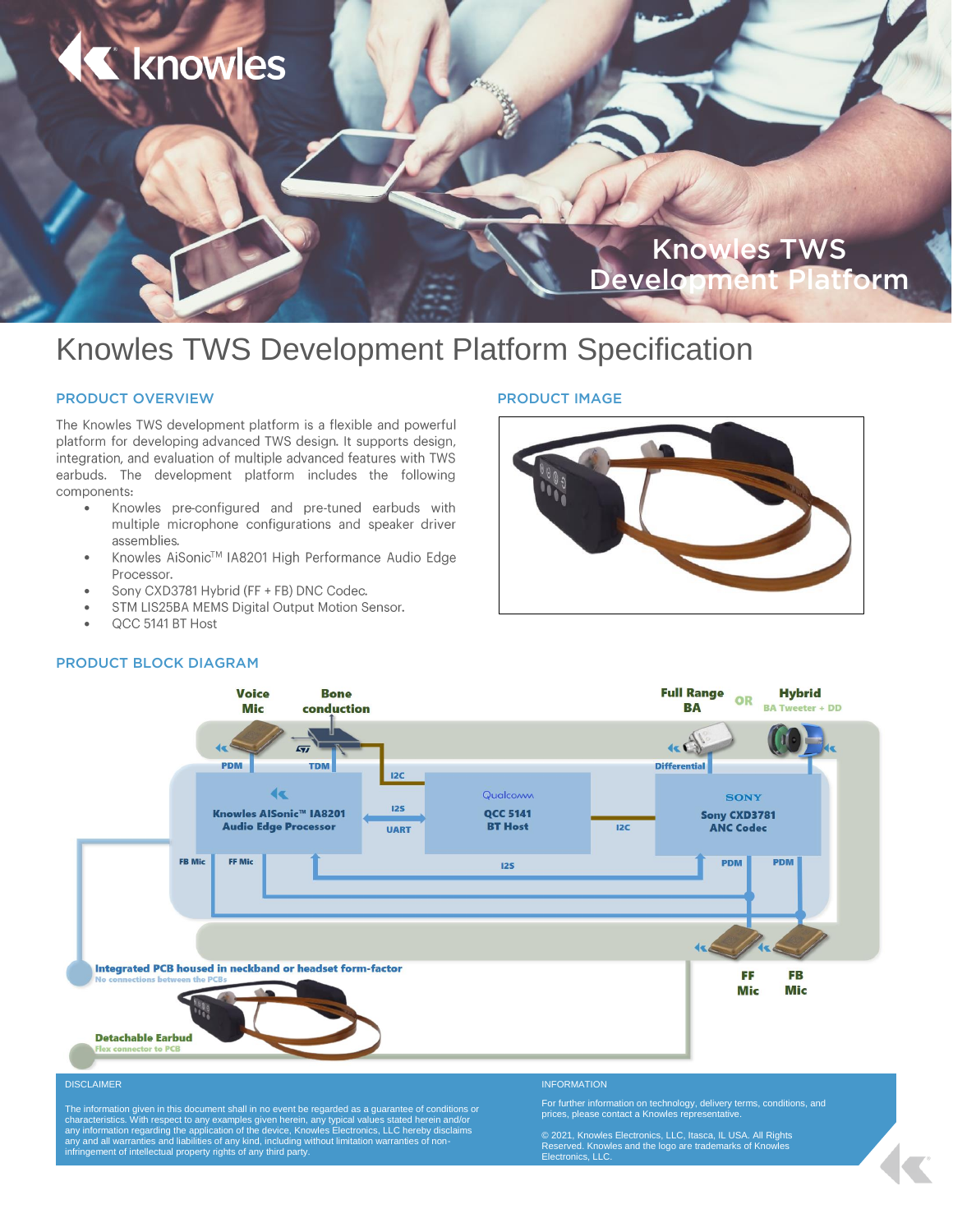

# Knowles TWS Development Platform Specification

# PRODUCT OVERVIEW

The Knowles TWS development platform is a flexible and powerful platform for developing advanced TWS design. It supports design, integration, and evaluation of multiple advanced features with TWS earbuds. The development platform includes the following components:

- Knowles pre-configured and pre-tuned earbuds with  $\bullet$ multiple microphone configurations and speaker driver assemblies.
- Knowles AiSonic™ IA8201 High Performance Audio Edge  $\bullet$ Processor.
- Sony CXD3781 Hybrid (FF + FB) DNC Codec.  $\bullet$
- STM LIS25BA MEMS Digital Output Motion Sensor.  $\bullet$
- QCC 5141 BT Host  $\bullet$

# PRODUCT IMAGE





© 2021, Knowles Electronics, LLC, Itasca, IL USA. All Rights Reserved. Knowles and the logo are trademarks of Knowles Electronics, LLC.

# PRODUCT BLOCK DIAGRAM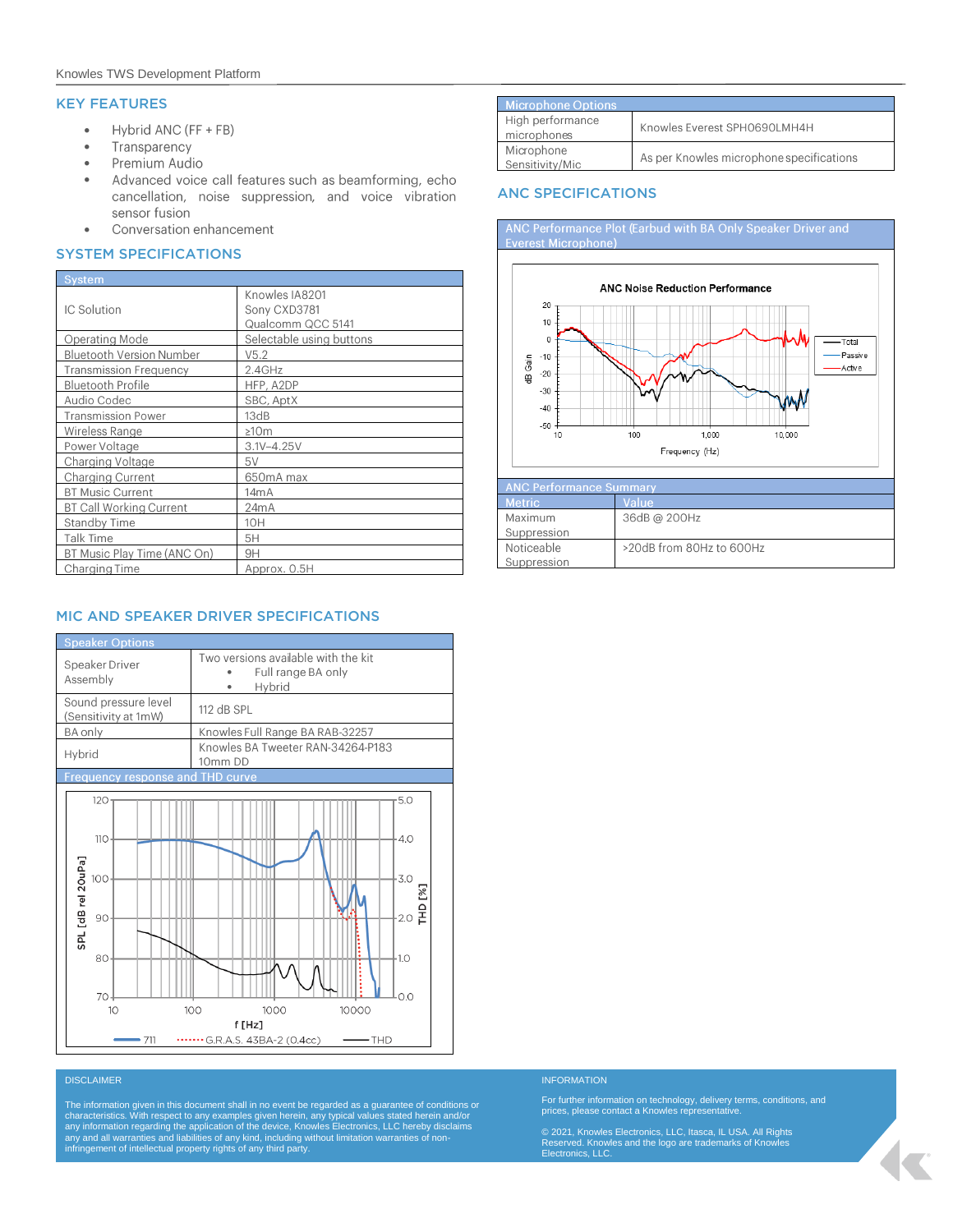# KEY FEATURES

- Hybrid ANC (FF + FB)  $\bullet$
- Transparency  $\bullet$
- $\bullet$ Premium Audio
- Advanced voice call features such as beamforming, echo  $\bullet$ cancellation, noise suppression, and voice vibration sensor fusion
- Conversation enhancement  $\bullet$

#### SYSTEM SPECIFICATIONS

| <b>System</b>                   |                                                     |  |  |
|---------------------------------|-----------------------------------------------------|--|--|
| IC Solution                     | Knowles IA8201<br>Sony CXD3781<br>Qualcomm QCC 5141 |  |  |
| Operating Mode                  | Selectable using buttons                            |  |  |
| <b>Bluetooth Version Number</b> | V5.2                                                |  |  |
| <b>Transmission Frequency</b>   | 2.4GHz                                              |  |  |
| <b>Bluetooth Profile</b>        | HFP, A2DP                                           |  |  |
| Audio Codec                     | SBC, AptX                                           |  |  |
| <b>Transmission Power</b>       | 13dB                                                |  |  |
| Wireless Range                  | ≥10m                                                |  |  |
| Power Voltage                   | $3.1V - 4.25V$                                      |  |  |
| Charging Voltage                | 5V                                                  |  |  |
| Charging Current                | 650mA max                                           |  |  |
| <b>BT Music Current</b>         | 14 <sub>m</sub> A                                   |  |  |
| <b>BT Call Working Current</b>  | 24mA                                                |  |  |
| <b>Standby Time</b>             | 10H                                                 |  |  |
| Talk Time                       | 5H                                                  |  |  |
| BT Music Play Time (ANC On)     | 9H                                                  |  |  |
| Charging Time                   | Approx. 0.5H                                        |  |  |

# MIC AND SPEAKER DRIVER SPECIFICATIONS



| <b>DISCLAIMER</b> |  |  |  |
|-------------------|--|--|--|
|                   |  |  |  |
|                   |  |  |  |

The information given in this document shall in no event be regarded as a guarantee of conditions or<br>characteristics. With respect to any examples given herein, any typical values stated herein and/or<br>any information regar

| Microphone Options              |                                          |
|---------------------------------|------------------------------------------|
| High performance<br>microphones | Knowles Everest SPH0690LMH4H             |
| Microphone<br>Sensitivity/Mic   | As per Knowles microphone specifications |

### ANC SPECIFICATIONS





#### **INFORMATION**

For further information on technology, delivery terms, conditions, and prices, please contact a Knowles representative.

© 2021, Knowles Electronics, LLC, Itasca, IL USA. All Rights Reserved. Knowles and the logo are trademarks of Knowles Electronics, LLC.